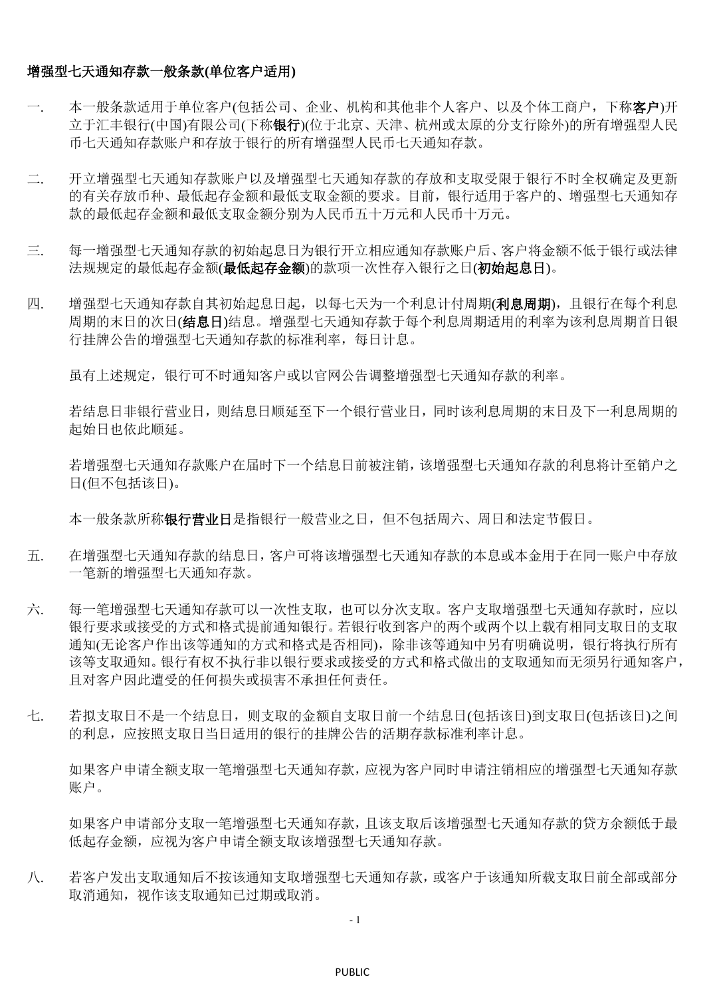## 增强型七天通知存款一般条款**(**单位客户适用**)**

- 一. 本一般条款适用于单位客户(包括公司、企业、机构和其他非个人客户、以及个体工商户,下称**客户**)开 立于汇丰银行(中国)有限公司(下称银行)(位于北京、天津、杭州或太原的分支行除外)的所有增强型人民 币七天通知存款账户和存放于银行的所有增强型人民币七天通知存款。
- 二. 开立增强型七天通知存款账户以及增强型七天通知存款的存放和支取受限于银行不时全权确定及更新 的有关存放币种、最低起存金额和最低支取金额的要求。目前,银行适用于客户的、增强型七天通知存 款的最低起存金额和最低支取金额分别为人民币五十万元和人民币十万元。
- 三. 每一增强型七天通知存款的初始起息日为银行开立相应通知存款账户后、客户将金额不低于银行或法律 法规规定的最低起存金额)的款项一次性存入银行之日(初始起息日)。
- 四. 增强型七天通知存款自其初始起息日起,以每七天为一个利息计付周期(利息周期),且银行在每个利息 周期的末日的次日(结息日)结息。增强型七天通知存款于每个利息周期适用的利率为该利息周期首日银 行挂牌公告的增强型七天通知存款的标准利率,每日计息。

虽有上述规定,银行可不时通知客户或以官网公告调整增强型七天通知存款的利率。

若结息日非银行营业日,则结息日顺延至下一个银行营业日,同时该利息周期的末日及下一利息周期的 起始日也依此顺延。

若增强型七天通知存款账户在届时下一个结息日前被注销,该增强型七天通知存款的利息将计至销户之 日(但不包括该日)。

本一般条款所称银行营业日是指银行一般营业之日,但不包括周六、周日和法定节假日。

- 五. 在增强型七天通知存款的结息日,客户可将该增强型七天通知存款的本息或本金用于在同一账户中存放 一笔新的增强型七天通知存款。
- 六. 每一笔增强型七天通知存款可以一次性支取,也可以分次支取。客户支取增强型七天通知存款时,应以 银行要求或接受的方式和格式提前通知银行。若银行收到客户的两个或两个以上载有相同支取日的支取 通知(无论客户作出该等通知的方式和格式是否相同),除非该等通知中另有明确说明,银行将执行所有 该等支取通知。银行有权不执行非以银行要求或接受的方式和格式做出的支取通知而无须另行通知客户, 且对客户因此遭受的任何损失或损害不承担任何责任。
- 七. 若拟支取日不是一个结息日,则支取的金额自支取日前一个结息日(包括该日)到支取日(包括该日)之间 的利息,应按照支取日当日适用的银行的挂牌公告的活期存款标准利率计息。

如果客户申请全额支取一笔增强型七天通知存款,应视为客户同时申请注销相应的增强型七天通知存款 账户。

如果客户申请部分支取一笔增强型七天通知存款,且该支取后该增强型七天通知存款的贷方余额低于最 低起存金额,应视为客户申请全额支取该增强型七天通知存款。

八. 若客户发出支取通知后不按该通知支取增强型七天通知存款,或客户于该通知所载支取日前全部或部分 取消通知,视作该支取通知已过期或取消。

- 1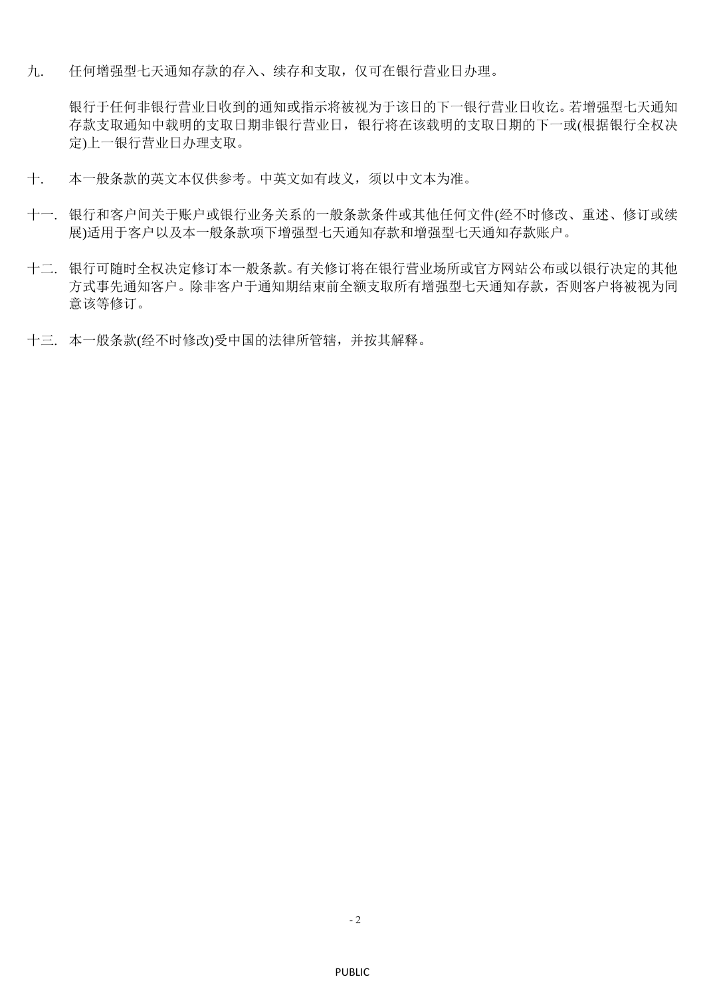九. 任何增强型七天通知存款的存入、续存和支取,仅可在银行营业日办理。

银行于任何非银行营业日收到的通知或指示将被视为于该日的下一银行营业日收讫。若增强型七天通知 存款支取通知中载明的支取日期非银行营业日,银行将在该载明的支取日期的下一或(根据银行全权决 定)上一银行营业日办理支取。

- 十. 本一般条款的英文本仅供参考。中英文如有歧义,须以中文本为准。
- 十一. 银行和客户间关于账户或银行业务关系的一般条款条件或其他任何文件(经不时修改、重述、修订或续 展)适用于客户以及本一般条款项下增强型七天通知存款和增强型七天通知存款账户。
- 十二. 银行可随时全权决定修订本一般条款。有关修订将在银行营业场所或官方网站公布或以银行决定的其他 方式事先通知客户。除非客户于通知期结束前全额支取所有增强型七天通知存款,否则客户将被视为同 意该等修订。
- 十三. 本一般条款(经不时修改)受中国的法律所管辖,并按其解释。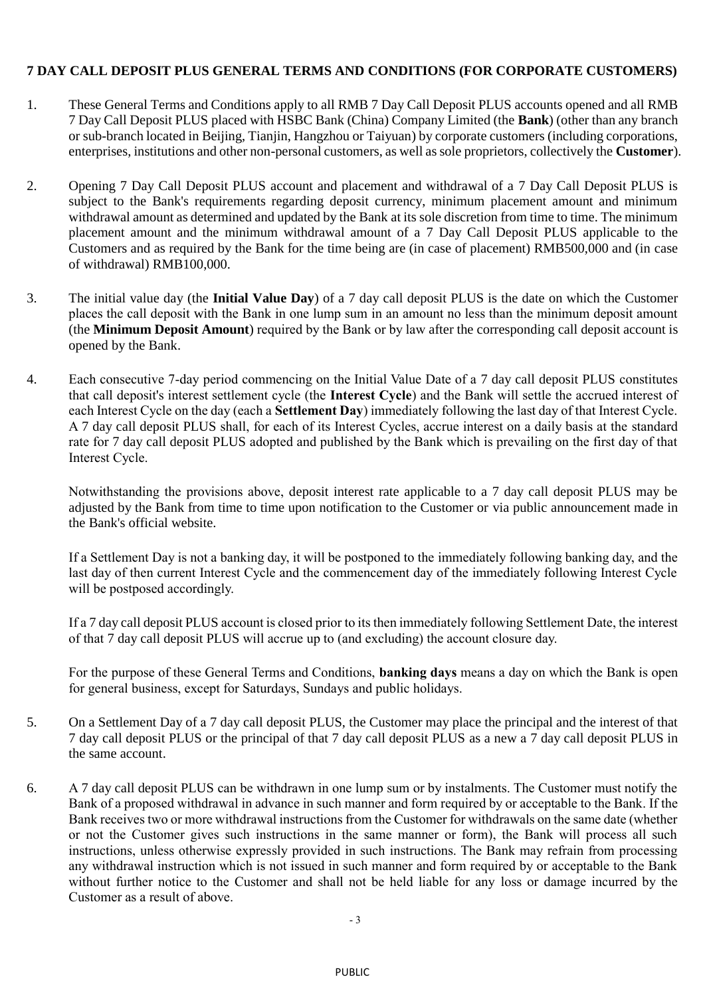## **7 DAY CALL DEPOSIT PLUS GENERAL TERMS AND CONDITIONS (FOR CORPORATE CUSTOMERS)**

- 1. These General Terms and Conditions apply to all RMB 7 Day Call Deposit PLUS accounts opened and all RMB 7 Day Call Deposit PLUS placed with HSBC Bank (China) Company Limited (the **Bank**) (other than any branch or sub-branch located in Beijing, Tianjin, Hangzhou or Taiyuan) by corporate customers (including corporations, enterprises, institutions and other non-personal customers, as well as sole proprietors, collectively the **Customer**).
- 2. Opening 7 Day Call Deposit PLUS account and placement and withdrawal of a 7 Day Call Deposit PLUS is subject to the Bank's requirements regarding deposit currency, minimum placement amount and minimum withdrawal amount as determined and updated by the Bank at its sole discretion from time to time. The minimum placement amount and the minimum withdrawal amount of a 7 Day Call Deposit PLUS applicable to the Customers and as required by the Bank for the time being are (in case of placement) RMB500,000 and (in case of withdrawal) RMB100,000.
- 3. The initial value day (the **Initial Value Day**) of a 7 day call deposit PLUS is the date on which the Customer places the call deposit with the Bank in one lump sum in an amount no less than the minimum deposit amount (the **Minimum Deposit Amount**) required by the Bank or by law after the corresponding call deposit account is opened by the Bank.
- 4. Each consecutive 7-day period commencing on the Initial Value Date of a 7 day call deposit PLUS constitutes that call deposit's interest settlement cycle (the **Interest Cycle**) and the Bank will settle the accrued interest of each Interest Cycle on the day (each a **Settlement Day**) immediately following the last day of that Interest Cycle. A 7 day call deposit PLUS shall, for each of its Interest Cycles, accrue interest on a daily basis at the standard rate for 7 day call deposit PLUS adopted and published by the Bank which is prevailing on the first day of that Interest Cycle.

Notwithstanding the provisions above, deposit interest rate applicable to a 7 day call deposit PLUS may be adjusted by the Bank from time to time upon notification to the Customer or via public announcement made in the Bank's official website.

If a Settlement Day is not a banking day, it will be postponed to the immediately following banking day, and the last day of then current Interest Cycle and the commencement day of the immediately following Interest Cycle will be postposed accordingly.

If a 7 day call deposit PLUS account is closed prior to its then immediately following Settlement Date, the interest of that 7 day call deposit PLUS will accrue up to (and excluding) the account closure day.

For the purpose of these General Terms and Conditions, **banking days** means a day on which the Bank is open for general business, except for Saturdays, Sundays and public holidays.

- 5. On a Settlement Day of a 7 day call deposit PLUS, the Customer may place the principal and the interest of that 7 day call deposit PLUS or the principal of that 7 day call deposit PLUS as a new a 7 day call deposit PLUS in the same account.
- 6. A 7 day call deposit PLUS can be withdrawn in one lump sum or by instalments. The Customer must notify the Bank of a proposed withdrawal in advance in such manner and form required by or acceptable to the Bank. If the Bank receives two or more withdrawal instructions from the Customer for withdrawals on the same date (whether or not the Customer gives such instructions in the same manner or form), the Bank will process all such instructions, unless otherwise expressly provided in such instructions. The Bank may refrain from processing any withdrawal instruction which is not issued in such manner and form required by or acceptable to the Bank without further notice to the Customer and shall not be held liable for any loss or damage incurred by the Customer as a result of above.

- 3